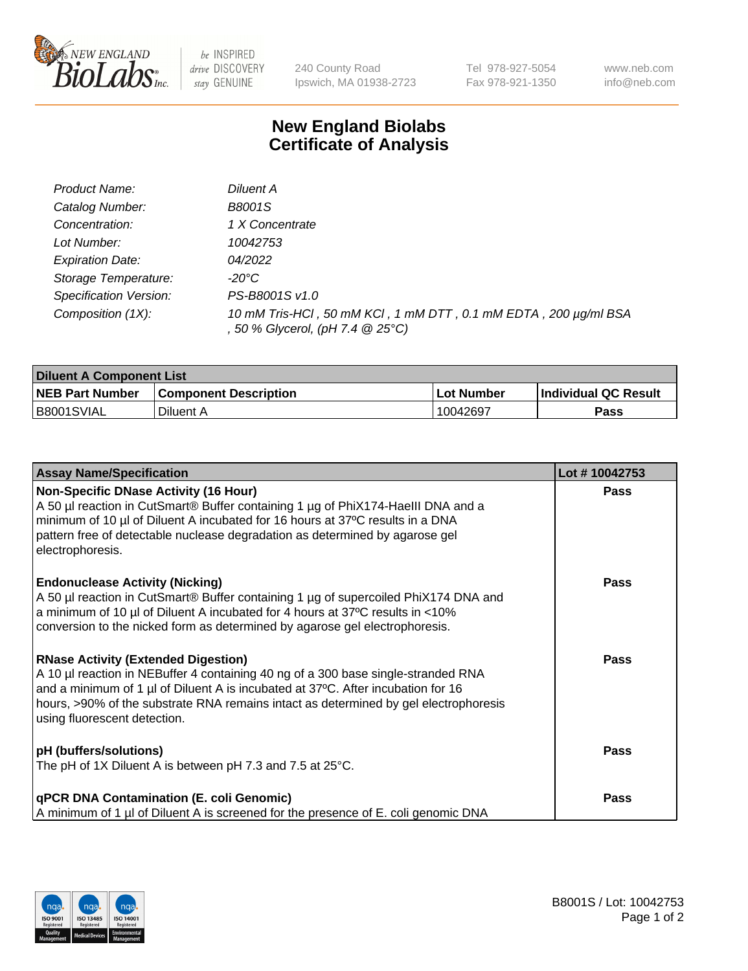

 $be$  INSPIRED drive DISCOVERY stay GENUINE

240 County Road Ipswich, MA 01938-2723 Tel 978-927-5054 Fax 978-921-1350 www.neb.com info@neb.com

## **New England Biolabs Certificate of Analysis**

| Product Name:           | Diluent A                                                                                           |
|-------------------------|-----------------------------------------------------------------------------------------------------|
| Catalog Number:         | <b>B8001S</b>                                                                                       |
| Concentration:          | 1 X Concentrate                                                                                     |
| Lot Number:             | 10042753                                                                                            |
| <b>Expiration Date:</b> | 04/2022                                                                                             |
| Storage Temperature:    | -20°C                                                                                               |
| Specification Version:  | PS-B8001S v1.0                                                                                      |
| Composition (1X):       | 10 mM Tris-HCl, 50 mM KCl, 1 mM DTT, 0.1 mM EDTA, 200 µg/ml BSA<br>, 50 % Glycerol, (pH 7.4 @ 25°C) |

| <b>Diluent A Component List</b> |                              |                   |                      |  |
|---------------------------------|------------------------------|-------------------|----------------------|--|
| <b>NEB Part Number</b>          | <b>Component Description</b> | <b>Lot Number</b> | Individual QC Result |  |
| B8001SVIAL                      | Diluent A                    | 10042697          | Pass                 |  |

| <b>Assay Name/Specification</b>                                                                                                                                                                                                                                                                                                             | Lot #10042753 |
|---------------------------------------------------------------------------------------------------------------------------------------------------------------------------------------------------------------------------------------------------------------------------------------------------------------------------------------------|---------------|
| Non-Specific DNase Activity (16 Hour)<br>A 50 µl reaction in CutSmart® Buffer containing 1 µg of PhiX174-HaellI DNA and a<br>minimum of 10 µl of Diluent A incubated for 16 hours at 37°C results in a DNA<br>pattern free of detectable nuclease degradation as determined by agarose gel<br>electrophoresis.                              | Pass          |
| <b>Endonuclease Activity (Nicking)</b><br>A 50 µl reaction in CutSmart® Buffer containing 1 µg of supercoiled PhiX174 DNA and<br>a minimum of 10 µl of Diluent A incubated for 4 hours at 37°C results in <10%<br>conversion to the nicked form as determined by agarose gel electrophoresis.                                               | Pass          |
| <b>RNase Activity (Extended Digestion)</b><br>A 10 µl reaction in NEBuffer 4 containing 40 ng of a 300 base single-stranded RNA<br>and a minimum of 1 µl of Diluent A is incubated at 37°C. After incubation for 16<br>hours, >90% of the substrate RNA remains intact as determined by gel electrophoresis<br>using fluorescent detection. | <b>Pass</b>   |
| <b>pH</b> (buffers/solutions)<br>The pH of 1X Diluent A is between pH 7.3 and 7.5 at 25°C.                                                                                                                                                                                                                                                  | Pass          |
| <b>qPCR DNA Contamination (E. coli Genomic)</b><br>A minimum of 1 µl of Diluent A is screened for the presence of E. coli genomic DNA                                                                                                                                                                                                       | <b>Pass</b>   |